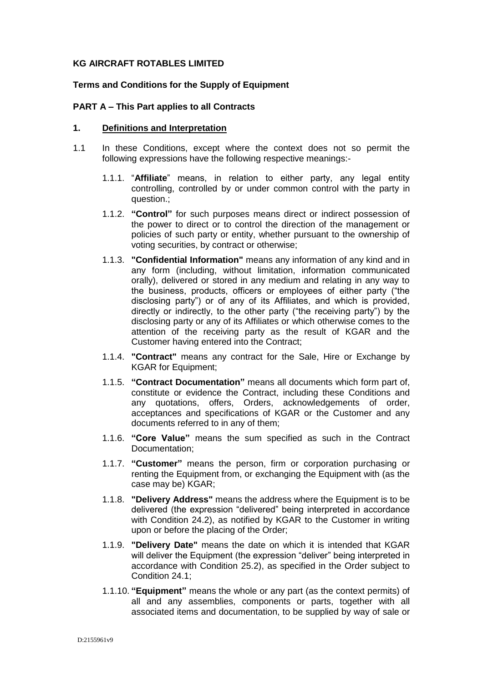# **KG AIRCRAFT ROTABLES LIMITED**

# **Terms and Conditions for the Supply of Equipment**

### **PART A – This Part applies to all Contracts**

#### **1. Definitions and Interpretation**

- 1.1 In these Conditions, except where the context does not so permit the following expressions have the following respective meanings:-
	- 1.1.1. "**Affiliate**" means, in relation to either party, any legal entity controlling, controlled by or under common control with the party in question.;
	- 1.1.2. **"Control"** for such purposes means direct or indirect possession of the power to direct or to control the direction of the management or policies of such party or entity, whether pursuant to the ownership of voting securities, by contract or otherwise;
	- 1.1.3. **"Confidential Information"** means any information of any kind and in any form (including, without limitation, information communicated orally), delivered or stored in any medium and relating in any way to the business, products, officers or employees of either party ("the disclosing party") or of any of its Affiliates, and which is provided, directly or indirectly, to the other party ("the receiving party") by the disclosing party or any of its Affiliates or which otherwise comes to the attention of the receiving party as the result of KGAR and the Customer having entered into the Contract;
	- 1.1.4. **"Contract"** means any contract for the Sale, Hire or Exchange by KGAR for Equipment;
	- 1.1.5. **"Contract Documentation"** means all documents which form part of, constitute or evidence the Contract, including these Conditions and any quotations, offers, Orders, acknowledgements of order, acceptances and specifications of KGAR or the Customer and any documents referred to in any of them;
	- 1.1.6. **"Core Value"** means the sum specified as such in the Contract Documentation;
	- 1.1.7. **"Customer"** means the person, firm or corporation purchasing or renting the Equipment from, or exchanging the Equipment with (as the case may be) KGAR;
	- 1.1.8. **"Delivery Address"** means the address where the Equipment is to be delivered (the expression "delivered" being interpreted in accordance with Condition 24.2), as notified by KGAR to the Customer in writing upon or before the placing of the Order;
	- 1.1.9. **"Delivery Date"** means the date on which it is intended that KGAR will deliver the Equipment (the expression "deliver" being interpreted in accordance with Condition [25.2\)](#page-16-0), as specified in the Order subject to Condition 24.1;
	- 1.1.10. **"Equipment"** means the whole or any part (as the context permits) of all and any assemblies, components or parts, together with all associated items and documentation, to be supplied by way of sale or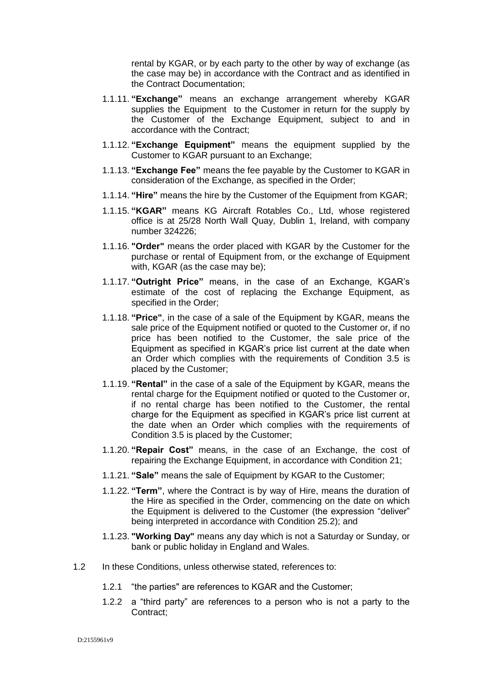rental by KGAR, or by each party to the other by way of exchange (as the case may be) in accordance with the Contract and as identified in the Contract Documentation;

- 1.1.11. **"Exchange"** means an exchange arrangement whereby KGAR supplies the Equipment to the Customer in return for the supply by the Customer of the Exchange Equipment, subject to and in accordance with the Contract;
- 1.1.12. **"Exchange Equipment"** means the equipment supplied by the Customer to KGAR pursuant to an Exchange;
- 1.1.13. **"Exchange Fee"** means the fee payable by the Customer to KGAR in consideration of the Exchange, as specified in the Order;
- 1.1.14. **"Hire"** means the hire by the Customer of the Equipment from KGAR;
- 1.1.15. **"KGAR"** means KG Aircraft Rotables Co., Ltd, whose registered office is at 25/28 North Wall Quay, Dublin 1, Ireland, with company number 324226;
- 1.1.16. **"Order"** means the order placed with KGAR by the Customer for the purchase or rental of Equipment from, or the exchange of Equipment with, KGAR (as the case may be);
- 1.1.17. **"Outright Price"** means, in the case of an Exchange, KGAR's estimate of the cost of replacing the Exchange Equipment, as specified in the Order;
- 1.1.18. **"Price"**, in the case of a sale of the Equipment by KGAR, means the sale price of the Equipment notified or quoted to the Customer or, if no price has been notified to the Customer, the sale price of the Equipment as specified in KGAR's price list current at the date when an Order which complies with the requirements of Condition 3.5 is placed by the Customer;
- 1.1.19. **"Rental"** in the case of a sale of the Equipment by KGAR, means the rental charge for the Equipment notified or quoted to the Customer or, if no rental charge has been notified to the Customer, the rental charge for the Equipment as specified in KGAR's price list current at the date when an Order which complies with the requirements of Condition 3.5 is placed by the Customer;
- 1.1.20. **"Repair Cost"** means, in the case of an Exchange, the cost of repairing the Exchange Equipment, in accordance with Condition 21;
- 1.1.21. **"Sale"** means the sale of Equipment by KGAR to the Customer;
- 1.1.22. **"Term"**, where the Contract is by way of Hire, means the duration of the Hire as specified in the Order, commencing on the date on which the Equipment is delivered to the Customer (the expression "deliver" being interpreted in accordance with Condition [25.2\)](#page-16-0); and
- 1.1.23. **"Working Day"** means any day which is not a Saturday or Sunday, or bank or public holiday in England and Wales.
- 1.2 In these Conditions, unless otherwise stated, references to:
	- 1.2.1 "the parties" are references to KGAR and the Customer;
	- 1.2.2 a "third party" are references to a person who is not a party to the Contract;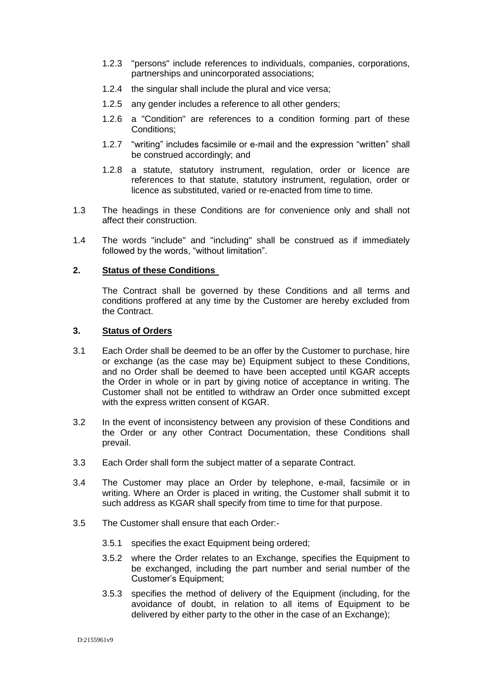- 1.2.3 "persons" include references to individuals, companies, corporations, partnerships and unincorporated associations;
- 1.2.4 the singular shall include the plural and vice versa;
- 1.2.5 any gender includes a reference to all other genders;
- 1.2.6 a "Condition" are references to a condition forming part of these Conditions;
- 1.2.7 "writing" includes facsimile or e-mail and the expression "written" shall be construed accordingly; and
- 1.2.8 a statute, statutory instrument, regulation, order or licence are references to that statute, statutory instrument, regulation, order or licence as substituted, varied or re-enacted from time to time.
- 1.3 The headings in these Conditions are for convenience only and shall not affect their construction.
- 1.4 The words "include" and "including" shall be construed as if immediately followed by the words, "without limitation".

#### **2. Status of these Conditions**

The Contract shall be governed by these Conditions and all terms and conditions proffered at any time by the Customer are hereby excluded from the Contract.

#### **3. Status of Orders**

- <span id="page-2-0"></span>3.1 Each Order shall be deemed to be an offer by the Customer to purchase, hire or exchange (as the case may be) Equipment subject to these Conditions, and no Order shall be deemed to have been accepted until KGAR accepts the Order in whole or in part by giving notice of acceptance in writing. The Customer shall not be entitled to withdraw an Order once submitted except with the express written consent of KGAR.
- 3.2 In the event of inconsistency between any provision of these Conditions and the Order or any other Contract Documentation, these Conditions shall prevail.
- 3.3 Each Order shall form the subject matter of a separate Contract.
- 3.4 The Customer may place an Order by telephone, e-mail, facsimile or in writing. Where an Order is placed in writing, the Customer shall submit it to such address as KGAR shall specify from time to time for that purpose.
- <span id="page-2-1"></span>3.5 The Customer shall ensure that each Order:-
	- 3.5.1 specifies the exact Equipment being ordered;
	- 3.5.2 where the Order relates to an Exchange, specifies the Equipment to be exchanged, including the part number and serial number of the Customer's Equipment;
	- 3.5.3 specifies the method of delivery of the Equipment (including, for the avoidance of doubt, in relation to all items of Equipment to be delivered by either party to the other in the case of an Exchange);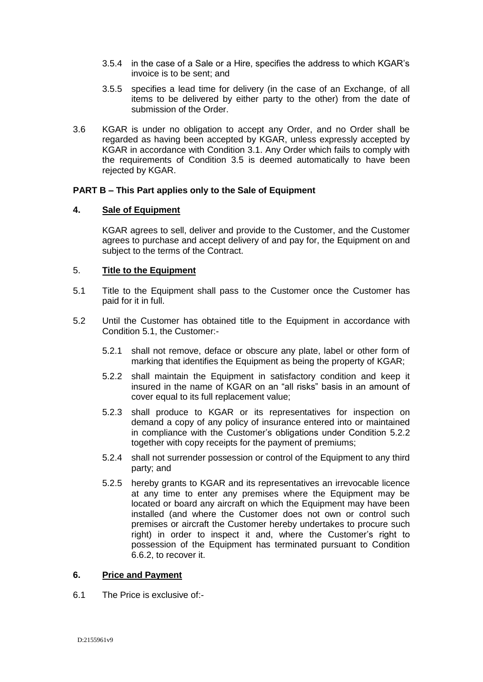- 3.5.4 in the case of a Sale or a Hire, specifies the address to which KGAR's invoice is to be sent; and
- 3.5.5 specifies a lead time for delivery (in the case of an Exchange, of all items to be delivered by either party to the other) from the date of submission of the Order.
- 3.6 KGAR is under no obligation to accept any Order, and no Order shall be regarded as having been accepted by KGAR, unless expressly accepted by KGAR in accordance with Condition [3.1.](#page-2-0) Any Order which fails to comply with the requirements of Condition [3.5](#page-2-1) is deemed automatically to have been rejected by KGAR.

# **PART B – This Part applies only to the Sale of Equipment**

# **4. Sale of Equipment**

KGAR agrees to sell, deliver and provide to the Customer, and the Customer agrees to purchase and accept delivery of and pay for, the Equipment on and subject to the terms of the Contract.

# 5. **Title to the Equipment**

- 5.1 Title to the Equipment shall pass to the Customer once the Customer has paid for it in full.
- <span id="page-3-0"></span>5.2 Until the Customer has obtained title to the Equipment in accordance with Condition 5.1, the Customer:-
	- 5.2.1 shall not remove, deface or obscure any plate, label or other form of marking that identifies the Equipment as being the property of KGAR;
	- 5.2.2 shall maintain the Equipment in satisfactory condition and keep it insured in the name of KGAR on an "all risks" basis in an amount of cover equal to its full replacement value;
	- 5.2.3 shall produce to KGAR or its representatives for inspection on demand a copy of any policy of insurance entered into or maintained in compliance with the Customer's obligations under Condition [5.2.2](#page-3-0) together with copy receipts for the payment of premiums;
	- 5.2.4 shall not surrender possession or control of the Equipment to any third party; and
	- 5.2.5 hereby grants to KGAR and its representatives an irrevocable licence at any time to enter any premises where the Equipment may be located or board any aircraft on which the Equipment may have been installed (and where the Customer does not own or control such premises or aircraft the Customer hereby undertakes to procure such right) in order to inspect it and, where the Customer's right to possession of the Equipment has terminated pursuant to Condition 6.6.2, to recover it.

#### <span id="page-3-1"></span>**6. Price and Payment**

6.1 The Price is exclusive of:-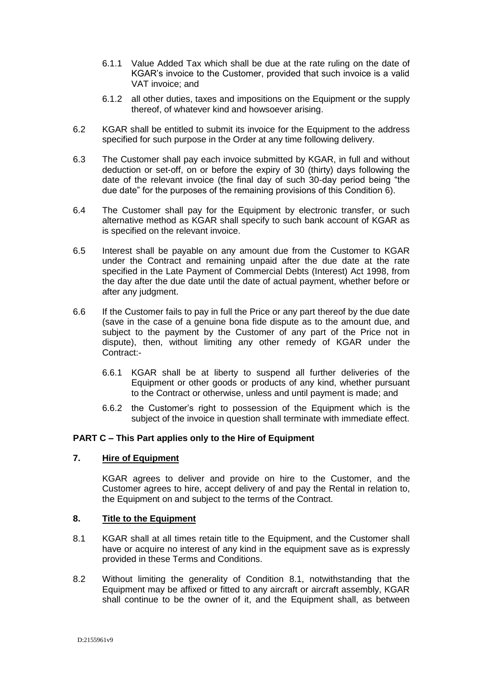- 6.1.1 Value Added Tax which shall be due at the rate ruling on the date of KGAR's invoice to the Customer, provided that such invoice is a valid VAT invoice; and
- 6.1.2 all other duties, taxes and impositions on the Equipment or the supply thereof, of whatever kind and howsoever arising.
- 6.2 KGAR shall be entitled to submit its invoice for the Equipment to the address specified for such purpose in the Order at any time following delivery.
- 6.3 The Customer shall pay each invoice submitted by KGAR, in full and without deduction or set-off, on or before the expiry of 30 (thirty) days following the date of the relevant invoice (the final day of such 30-day period being "the due date" for the purposes of the remaining provisions of this Condition [6\)](#page-3-1).
- 6.4 The Customer shall pay for the Equipment by electronic transfer, or such alternative method as KGAR shall specify to such bank account of KGAR as is specified on the relevant invoice.
- 6.5 Interest shall be payable on any amount due from the Customer to KGAR under the Contract and remaining unpaid after the due date at the rate specified in the Late Payment of Commercial Debts (Interest) Act 1998, from the day after the due date until the date of actual payment, whether before or after any judgment.
- 6.6 If the Customer fails to pay in full the Price or any part thereof by the due date (save in the case of a genuine bona fide dispute as to the amount due, and subject to the payment by the Customer of any part of the Price not in dispute), then, without limiting any other remedy of KGAR under the Contract:-
	- 6.6.1 KGAR shall be at liberty to suspend all further deliveries of the Equipment or other goods or products of any kind, whether pursuant to the Contract or otherwise, unless and until payment is made; and
	- 6.6.2 the Customer's right to possession of the Equipment which is the subject of the invoice in question shall terminate with immediate effect.

# **PART C – This Part applies only to the Hire of Equipment**

# **7. Hire of Equipment**

KGAR agrees to deliver and provide on hire to the Customer, and the Customer agrees to hire, accept delivery of and pay the Rental in relation to, the Equipment on and subject to the terms of the Contract.

#### **8. Title to the Equipment**

- <span id="page-4-0"></span>8.1 KGAR shall at all times retain title to the Equipment, and the Customer shall have or acquire no interest of any kind in the equipment save as is expressly provided in these Terms and Conditions.
- 8.2 Without limiting the generality of Condition [8.1,](#page-4-0) notwithstanding that the Equipment may be affixed or fitted to any aircraft or aircraft assembly, KGAR shall continue to be the owner of it, and the Equipment shall, as between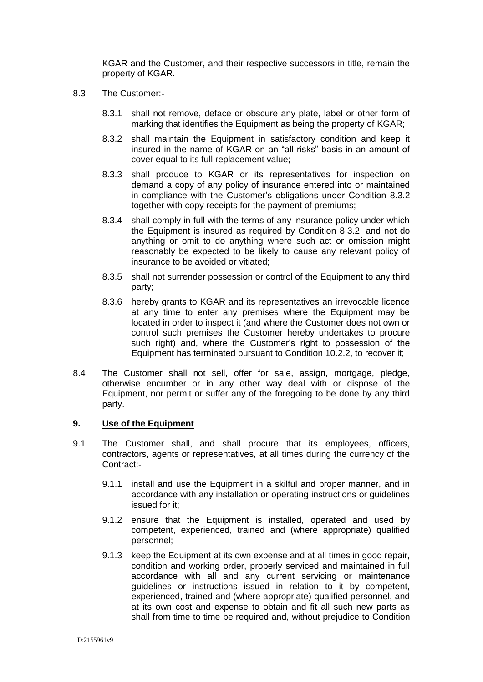KGAR and the Customer, and their respective successors in title, remain the property of KGAR.

- <span id="page-5-0"></span>8.3 The Customer:-
	- 8.3.1 shall not remove, deface or obscure any plate, label or other form of marking that identifies the Equipment as being the property of KGAR;
	- 8.3.2 shall maintain the Equipment in satisfactory condition and keep it insured in the name of KGAR on an "all risks" basis in an amount of cover equal to its full replacement value;
	- 8.3.3 shall produce to KGAR or its representatives for inspection on demand a copy of any policy of insurance entered into or maintained in compliance with the Customer's obligations under Condition [8.3.2](#page-5-0) together with copy receipts for the payment of premiums;
	- 8.3.4 shall comply in full with the terms of any insurance policy under which the Equipment is insured as required by Condition [8.3.2,](#page-5-0) and not do anything or omit to do anything where such act or omission might reasonably be expected to be likely to cause any relevant policy of insurance to be avoided or vitiated;
	- 8.3.5 shall not surrender possession or control of the Equipment to any third party;
	- 8.3.6 hereby grants to KGAR and its representatives an irrevocable licence at any time to enter any premises where the Equipment may be located in order to inspect it (and where the Customer does not own or control such premises the Customer hereby undertakes to procure such right) and, where the Customer's right to possession of the Equipment has terminated pursuant to Condition 10.2.2, to recover it;
- 8.4 The Customer shall not sell, offer for sale, assign, mortgage, pledge, otherwise encumber or in any other way deal with or dispose of the Equipment, nor permit or suffer any of the foregoing to be done by any third party.

# **9. Use of the Equipment**

- <span id="page-5-2"></span><span id="page-5-1"></span>9.1 The Customer shall, and shall procure that its employees, officers, contractors, agents or representatives, at all times during the currency of the Contract:-
	- 9.1.1 install and use the Equipment in a skilful and proper manner, and in accordance with any installation or operating instructions or guidelines issued for it;
	- 9.1.2 ensure that the Equipment is installed, operated and used by competent, experienced, trained and (where appropriate) qualified personnel;
	- 9.1.3 keep the Equipment at its own expense and at all times in good repair, condition and working order, properly serviced and maintained in full accordance with all and any current servicing or maintenance guidelines or instructions issued in relation to it by competent, experienced, trained and (where appropriate) qualified personnel, and at its own cost and expense to obtain and fit all such new parts as shall from time to time be required and, without prejudice to Condition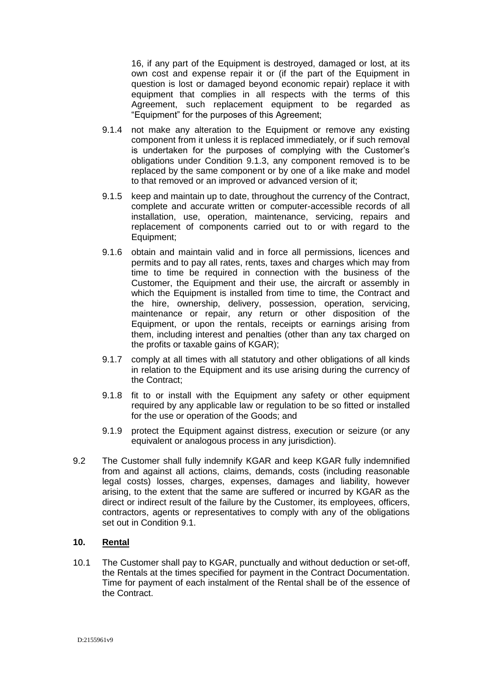16, if any part of the Equipment is destroyed, damaged or lost, at its own cost and expense repair it or (if the part of the Equipment in question is lost or damaged beyond economic repair) replace it with equipment that complies in all respects with the terms of this Agreement, such replacement equipment to be regarded as "Equipment" for the purposes of this Agreement;

- 9.1.4 not make any alteration to the Equipment or remove any existing component from it unless it is replaced immediately, or if such removal is undertaken for the purposes of complying with the Customer's obligations under Condition [9.1.3,](#page-5-1) any component removed is to be replaced by the same component or by one of a like make and model to that removed or an improved or advanced version of it;
- 9.1.5 keep and maintain up to date, throughout the currency of the Contract, complete and accurate written or computer-accessible records of all installation, use, operation, maintenance, servicing, repairs and replacement of components carried out to or with regard to the Equipment;
- 9.1.6 obtain and maintain valid and in force all permissions, licences and permits and to pay all rates, rents, taxes and charges which may from time to time be required in connection with the business of the Customer, the Equipment and their use, the aircraft or assembly in which the Equipment is installed from time to time, the Contract and the hire, ownership, delivery, possession, operation, servicing, maintenance or repair, any return or other disposition of the Equipment, or upon the rentals, receipts or earnings arising from them, including interest and penalties (other than any tax charged on the profits or taxable gains of KGAR);
- 9.1.7 comply at all times with all statutory and other obligations of all kinds in relation to the Equipment and its use arising during the currency of the Contract;
- 9.1.8 fit to or install with the Equipment any safety or other equipment required by any applicable law or regulation to be so fitted or installed for the use or operation of the Goods; and
- 9.1.9 protect the Equipment against distress, execution or seizure (or any equivalent or analogous process in any jurisdiction).
- 9.2 The Customer shall fully indemnify KGAR and keep KGAR fully indemnified from and against all actions, claims, demands, costs (including reasonable legal costs) losses, charges, expenses, damages and liability, however arising, to the extent that the same are suffered or incurred by KGAR as the direct or indirect result of the failure by the Customer, its employees, officers, contractors, agents or representatives to comply with any of the obligations set out in Condition [9.1.](#page-5-2)

# **10. Rental**

10.1 The Customer shall pay to KGAR, punctually and without deduction or set-off, the Rentals at the times specified for payment in the Contract Documentation. Time for payment of each instalment of the Rental shall be of the essence of the Contract.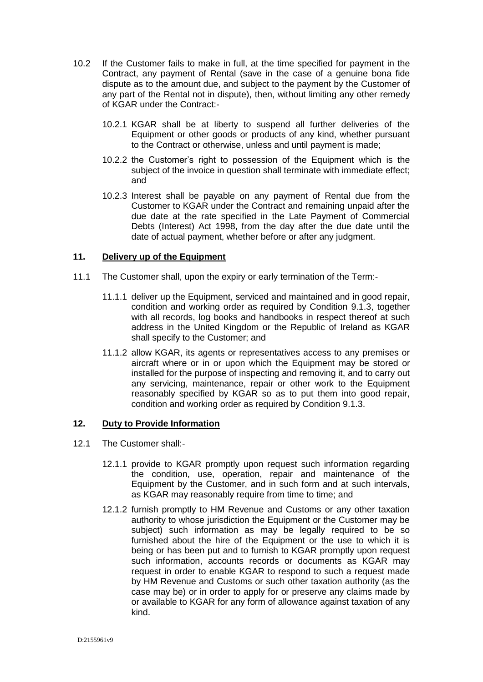- 10.2 If the Customer fails to make in full, at the time specified for payment in the Contract, any payment of Rental (save in the case of a genuine bona fide dispute as to the amount due, and subject to the payment by the Customer of any part of the Rental not in dispute), then, without limiting any other remedy of KGAR under the Contract:-
	- 10.2.1 KGAR shall be at liberty to suspend all further deliveries of the Equipment or other goods or products of any kind, whether pursuant to the Contract or otherwise, unless and until payment is made;
	- 10.2.2 the Customer's right to possession of the Equipment which is the subject of the invoice in question shall terminate with immediate effect; and
	- 10.2.3 Interest shall be payable on any payment of Rental due from the Customer to KGAR under the Contract and remaining unpaid after the due date at the rate specified in the Late Payment of Commercial Debts (Interest) Act 1998, from the day after the due date until the date of actual payment, whether before or after any judgment.

# **11. Delivery up of the Equipment**

- 11.1 The Customer shall, upon the expiry or early termination of the Term:-
	- 11.1.1 deliver up the Equipment, serviced and maintained and in good repair, condition and working order as required by Condition [9.1.3,](#page-5-1) together with all records, log books and handbooks in respect thereof at such address in the United Kingdom or the Republic of Ireland as KGAR shall specify to the Customer; and
	- 11.1.2 allow KGAR, its agents or representatives access to any premises or aircraft where or in or upon which the Equipment may be stored or installed for the purpose of inspecting and removing it, and to carry out any servicing, maintenance, repair or other work to the Equipment reasonably specified by KGAR so as to put them into good repair, condition and working order as required by Condition [9.1.3.](#page-5-1)

# **12. Duty to Provide Information**

- 12.1 The Customer shall:-
	- 12.1.1 provide to KGAR promptly upon request such information regarding the condition, use, operation, repair and maintenance of the Equipment by the Customer, and in such form and at such intervals, as KGAR may reasonably require from time to time; and
	- 12.1.2 furnish promptly to HM Revenue and Customs or any other taxation authority to whose jurisdiction the Equipment or the Customer may be subject) such information as may be legally required to be so furnished about the hire of the Equipment or the use to which it is being or has been put and to furnish to KGAR promptly upon request such information, accounts records or documents as KGAR may request in order to enable KGAR to respond to such a request made by HM Revenue and Customs or such other taxation authority (as the case may be) or in order to apply for or preserve any claims made by or available to KGAR for any form of allowance against taxation of any kind.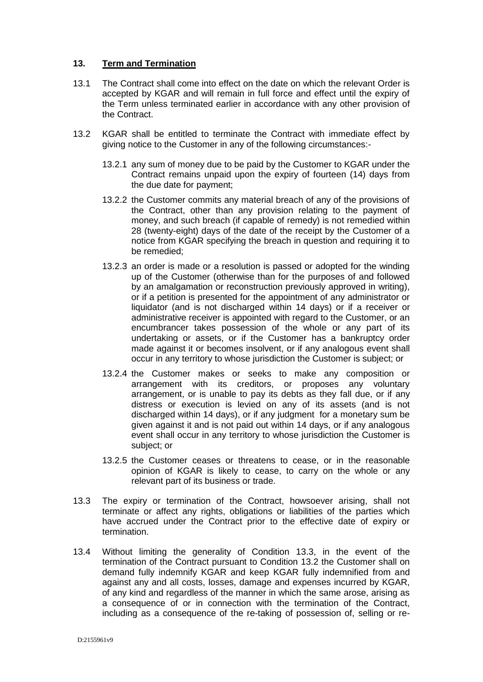# **13. Term and Termination**

- 13.1 The Contract shall come into effect on the date on which the relevant Order is accepted by KGAR and will remain in full force and effect until the expiry of the Term unless terminated earlier in accordance with any other provision of the Contract.
- <span id="page-8-1"></span>13.2 KGAR shall be entitled to terminate the Contract with immediate effect by giving notice to the Customer in any of the following circumstances:-
	- 13.2.1 any sum of money due to be paid by the Customer to KGAR under the Contract remains unpaid upon the expiry of fourteen (14) days from the due date for payment;
	- 13.2.2 the Customer commits any material breach of any of the provisions of the Contract, other than any provision relating to the payment of money, and such breach (if capable of remedy) is not remedied within 28 (twenty-eight) days of the date of the receipt by the Customer of a notice from KGAR specifying the breach in question and requiring it to be remedied;
	- 13.2.3 an order is made or a resolution is passed or adopted for the winding up of the Customer (otherwise than for the purposes of and followed by an amalgamation or reconstruction previously approved in writing), or if a petition is presented for the appointment of any administrator or liquidator (and is not discharged within 14 days) or if a receiver or administrative receiver is appointed with regard to the Customer, or an encumbrancer takes possession of the whole or any part of its undertaking or assets, or if the Customer has a bankruptcy order made against it or becomes insolvent, or if any analogous event shall occur in any territory to whose jurisdiction the Customer is subject; or
	- 13.2.4 the Customer makes or seeks to make any composition or arrangement with its creditors, or proposes any voluntary arrangement, or is unable to pay its debts as they fall due, or if any distress or execution is levied on any of its assets (and is not discharged within 14 days), or if any judgment for a monetary sum be given against it and is not paid out within 14 days, or if any analogous event shall occur in any territory to whose jurisdiction the Customer is subject; or
	- 13.2.5 the Customer ceases or threatens to cease, or in the reasonable opinion of KGAR is likely to cease, to carry on the whole or any relevant part of its business or trade.
- <span id="page-8-0"></span>13.3 The expiry or termination of the Contract, howsoever arising, shall not terminate or affect any rights, obligations or liabilities of the parties which have accrued under the Contract prior to the effective date of expiry or termination.
- 13.4 Without limiting the generality of Condition [13.3,](#page-8-0) in the event of the termination of the Contract pursuant to Condition [13.2](#page-8-1) the Customer shall on demand fully indemnify KGAR and keep KGAR fully indemnified from and against any and all costs, losses, damage and expenses incurred by KGAR, of any kind and regardless of the manner in which the same arose, arising as a consequence of or in connection with the termination of the Contract, including as a consequence of the re-taking of possession of, selling or re-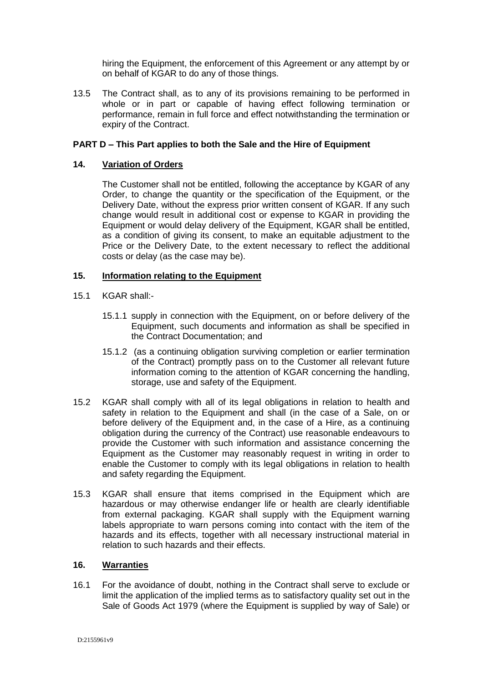hiring the Equipment, the enforcement of this Agreement or any attempt by or on behalf of KGAR to do any of those things.

13.5 The Contract shall, as to any of its provisions remaining to be performed in whole or in part or capable of having effect following termination or performance, remain in full force and effect notwithstanding the termination or expiry of the Contract.

# **PART D – This Part applies to both the Sale and the Hire of Equipment**

# **14. Variation of Orders**

The Customer shall not be entitled, following the acceptance by KGAR of any Order, to change the quantity or the specification of the Equipment, or the Delivery Date, without the express prior written consent of KGAR. If any such change would result in additional cost or expense to KGAR in providing the Equipment or would delay delivery of the Equipment, KGAR shall be entitled, as a condition of giving its consent, to make an equitable adjustment to the Price or the Delivery Date, to the extent necessary to reflect the additional costs or delay (as the case may be).

# **15. Information relating to the Equipment**

- 15.1 KGAR shall:-
	- 15.1.1 supply in connection with the Equipment, on or before delivery of the Equipment, such documents and information as shall be specified in the Contract Documentation; and
	- 15.1.2 (as a continuing obligation surviving completion or earlier termination of the Contract) promptly pass on to the Customer all relevant future information coming to the attention of KGAR concerning the handling, storage, use and safety of the Equipment.
- 15.2 KGAR shall comply with all of its legal obligations in relation to health and safety in relation to the Equipment and shall (in the case of a Sale, on or before delivery of the Equipment and, in the case of a Hire, as a continuing obligation during the currency of the Contract) use reasonable endeavours to provide the Customer with such information and assistance concerning the Equipment as the Customer may reasonably request in writing in order to enable the Customer to comply with its legal obligations in relation to health and safety regarding the Equipment.
- 15.3 KGAR shall ensure that items comprised in the Equipment which are hazardous or may otherwise endanger life or health are clearly identifiable from external packaging. KGAR shall supply with the Equipment warning labels appropriate to warn persons coming into contact with the item of the hazards and its effects, together with all necessary instructional material in relation to such hazards and their effects.

#### **16. Warranties**

16.1 For the avoidance of doubt, nothing in the Contract shall serve to exclude or limit the application of the implied terms as to satisfactory quality set out in the Sale of Goods Act 1979 (where the Equipment is supplied by way of Sale) or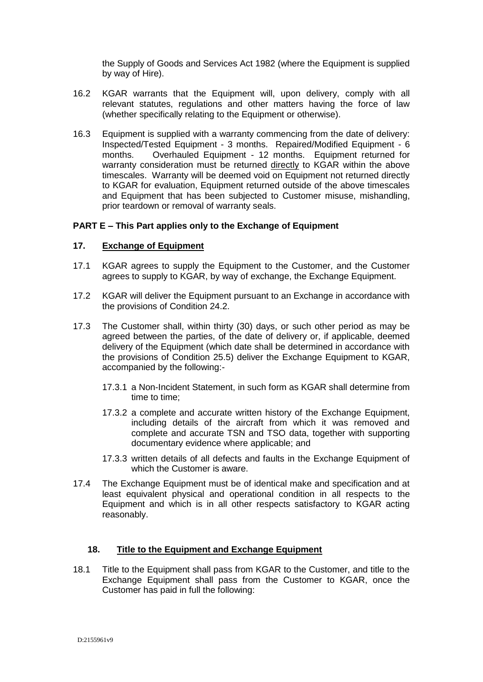the Supply of Goods and Services Act 1982 (where the Equipment is supplied by way of Hire).

- 16.2 KGAR warrants that the Equipment will, upon delivery, comply with all relevant statutes, regulations and other matters having the force of law (whether specifically relating to the Equipment or otherwise).
- 16.3 Equipment is supplied with a warranty commencing from the date of delivery: Inspected/Tested Equipment - 3 months. Repaired/Modified Equipment - 6 months. Overhauled Equipment - 12 months. Equipment returned for warranty consideration must be returned directly to KGAR within the above timescales. Warranty will be deemed void on Equipment not returned directly to KGAR for evaluation, Equipment returned outside of the above timescales and Equipment that has been subjected to Customer misuse, mishandling, prior teardown or removal of warranty seals.

# **PART E – This Part applies only to the Exchange of Equipment**

# **17. Exchange of Equipment**

- 17.1 KGAR agrees to supply the Equipment to the Customer, and the Customer agrees to supply to KGAR, by way of exchange, the Exchange Equipment.
- 17.2 KGAR will deliver the Equipment pursuant to an Exchange in accordance with the provisions of Condition 24.2.
- <span id="page-10-0"></span>17.3 The Customer shall, within thirty (30) days, or such other period as may be agreed between the parties, of the date of delivery or, if applicable, deemed delivery of the Equipment (which date shall be determined in accordance with the provisions of Condition 25.5) deliver the Exchange Equipment to KGAR, accompanied by the following:-
	- 17.3.1 a Non-Incident Statement, in such form as KGAR shall determine from time to time;
	- 17.3.2 a complete and accurate written history of the Exchange Equipment, including details of the aircraft from which it was removed and complete and accurate TSN and TSO data, together with supporting documentary evidence where applicable; and
	- 17.3.3 written details of all defects and faults in the Exchange Equipment of which the Customer is aware.
- 17.4 The Exchange Equipment must be of identical make and specification and at least equivalent physical and operational condition in all respects to the Equipment and which is in all other respects satisfactory to KGAR acting reasonably.

# **18. Title to the Equipment and Exchange Equipment**

18.1 Title to the Equipment shall pass from KGAR to the Customer, and title to the Exchange Equipment shall pass from the Customer to KGAR, once the Customer has paid in full the following: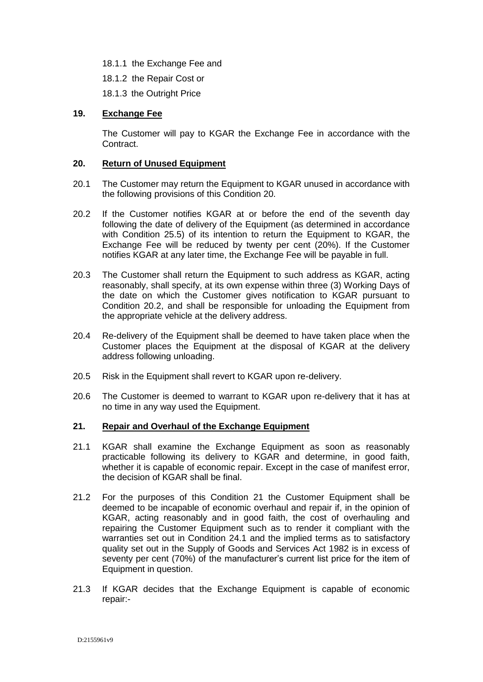18.1.1 the Exchange Fee and

18.1.2 the Repair Cost or

18.1.3 the Outright Price

# **19. Exchange Fee**

The Customer will pay to KGAR the Exchange Fee in accordance with the Contract.

### **20. Return of Unused Equipment**

- 20.1 The Customer may return the Equipment to KGAR unused in accordance with the following provisions of this Condition 20.
- <span id="page-11-0"></span>20.2 If the Customer notifies KGAR at or before the end of the seventh day following the date of delivery of the Equipment (as determined in accordance with Condition 25.5) of its intention to return the Equipment to KGAR, the Exchange Fee will be reduced by twenty per cent (20%). If the Customer notifies KGAR at any later time, the Exchange Fee will be payable in full.
- 20.3 The Customer shall return the Equipment to such address as KGAR, acting reasonably, shall specify, at its own expense within three (3) Working Days of the date on which the Customer gives notification to KGAR pursuant to Condition [20.2,](#page-11-0) and shall be responsible for unloading the Equipment from the appropriate vehicle at the delivery address.
- 20.4 Re-delivery of the Equipment shall be deemed to have taken place when the Customer places the Equipment at the disposal of KGAR at the delivery address following unloading.
- 20.5 Risk in the Equipment shall revert to KGAR upon re-delivery.
- 20.6 The Customer is deemed to warrant to KGAR upon re-delivery that it has at no time in any way used the Equipment.

#### **21. Repair and Overhaul of the Exchange Equipment**

- 21.1 KGAR shall examine the Exchange Equipment as soon as reasonably practicable following its delivery to KGAR and determine, in good faith, whether it is capable of economic repair. Except in the case of manifest error, the decision of KGAR shall be final.
- 21.2 For the purposes of this Condition 21 the Customer Equipment shall be deemed to be incapable of economic overhaul and repair if, in the opinion of KGAR, acting reasonably and in good faith, the cost of overhauling and repairing the Customer Equipment such as to render it compliant with the warranties set out in Condition 24.1 and the implied terms as to satisfactory quality set out in the Supply of Goods and Services Act 1982 is in excess of seventy per cent (70%) of the manufacturer's current list price for the item of Equipment in question.
- 21.3 If KGAR decides that the Exchange Equipment is capable of economic repair:-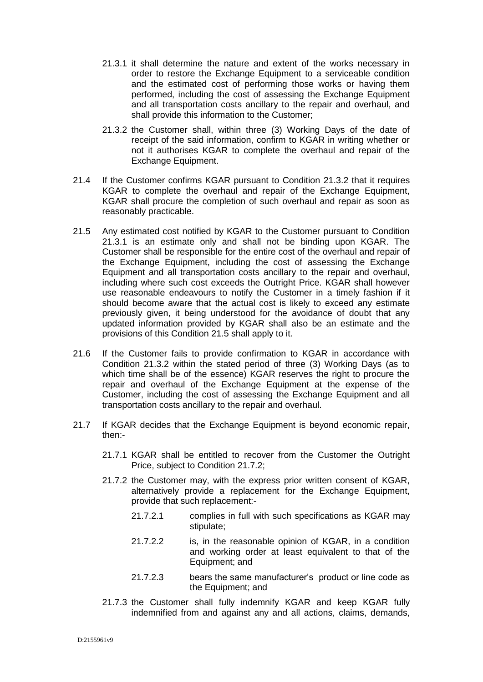- <span id="page-12-1"></span>21.3.1 it shall determine the nature and extent of the works necessary in order to restore the Exchange Equipment to a serviceable condition and the estimated cost of performing those works or having them performed, including the cost of assessing the Exchange Equipment and all transportation costs ancillary to the repair and overhaul, and shall provide this information to the Customer;
- <span id="page-12-0"></span>21.3.2 the Customer shall, within three (3) Working Days of the date of receipt of the said information, confirm to KGAR in writing whether or not it authorises KGAR to complete the overhaul and repair of the Exchange Equipment.
- 21.4 If the Customer confirms KGAR pursuant to Condition [21.3.2](#page-12-0) that it requires KGAR to complete the overhaul and repair of the Exchange Equipment, KGAR shall procure the completion of such overhaul and repair as soon as reasonably practicable.
- <span id="page-12-2"></span>21.5 Any estimated cost notified by KGAR to the Customer pursuant to Condition [21.3.1](#page-12-1) is an estimate only and shall not be binding upon KGAR. The Customer shall be responsible for the entire cost of the overhaul and repair of the Exchange Equipment, including the cost of assessing the Exchange Equipment and all transportation costs ancillary to the repair and overhaul, including where such cost exceeds the Outright Price. KGAR shall however use reasonable endeavours to notify the Customer in a timely fashion if it should become aware that the actual cost is likely to exceed any estimate previously given, it being understood for the avoidance of doubt that any updated information provided by KGAR shall also be an estimate and the provisions of this Condition [21.5](#page-12-2) shall apply to it.
- 21.6 If the Customer fails to provide confirmation to KGAR in accordance with Condition [21.3.2](#page-12-0) within the stated period of three (3) Working Days (as to which time shall be of the essence) KGAR reserves the right to procure the repair and overhaul of the Exchange Equipment at the expense of the Customer, including the cost of assessing the Exchange Equipment and all transportation costs ancillary to the repair and overhaul.
- <span id="page-12-4"></span><span id="page-12-3"></span>21.7 If KGAR decides that the Exchange Equipment is beyond economic repair, then:-
	- 21.7.1 KGAR shall be entitled to recover from the Customer the Outright Price, subject to Condition [21.7.2;](#page-12-3)
	- 21.7.2 the Customer may, with the express prior written consent of KGAR, alternatively provide a replacement for the Exchange Equipment, provide that such replacement:-
		- 21.7.2.1 complies in full with such specifications as KGAR may stipulate;
		- 21.7.2.2 is, in the reasonable opinion of KGAR, in a condition and working order at least equivalent to that of the Equipment; and
		- 21.7.2.3 bears the same manufacturer's product or line code as the Equipment; and
	- 21.7.3 the Customer shall fully indemnify KGAR and keep KGAR fully indemnified from and against any and all actions, claims, demands,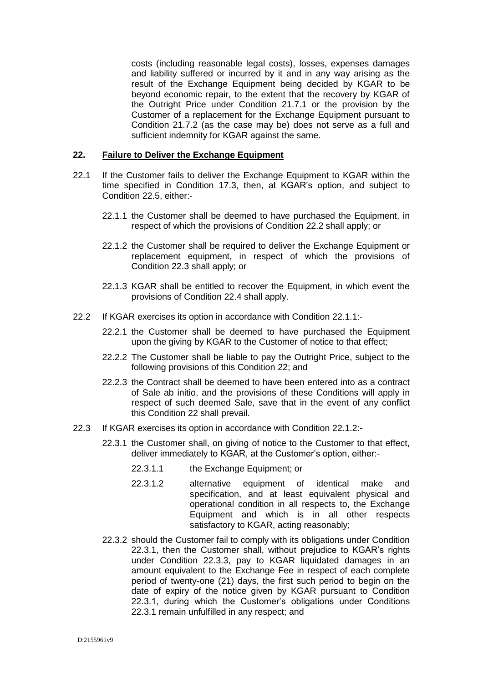costs (including reasonable legal costs), losses, expenses damages and liability suffered or incurred by it and in any way arising as the result of the Exchange Equipment being decided by KGAR to be beyond economic repair, to the extent that the recovery by KGAR of the Outright Price under Condition [21.7.1](#page-12-4) or the provision by the Customer of a replacement for the Exchange Equipment pursuant to Condition [21.7.2](#page-12-3) (as the case may be) does not serve as a full and sufficient indemnity for KGAR against the same.

# **22. Failure to Deliver the Exchange Equipment**

- 22.1 If the Customer fails to deliver the Exchange Equipment to KGAR within the time specified in Condition [17.3,](#page-10-0) then, at KGAR's option, and subject to Condition 22.5, either:-
	- 22.1.1 the Customer shall be deemed to have purchased the Equipment, in respect of which the provisions of Condition 22.2 shall apply; or
	- 22.1.2 the Customer shall be required to deliver the Exchange Equipment or replacement equipment, in respect of which the provisions of Condition 22.3 shall apply; or
	- 22.1.3 KGAR shall be entitled to recover the Equipment, in which event the provisions of Condition 22.4 shall apply.
- <span id="page-13-0"></span>22.2 If KGAR exercises its option in accordance with Condition 22.1.1:-
	- 22.2.1 the Customer shall be deemed to have purchased the Equipment upon the giving by KGAR to the Customer of notice to that effect;
	- 22.2.2 The Customer shall be liable to pay the Outright Price, subject to the following provisions of this Condition 22; and
	- 22.2.3 the Contract shall be deemed to have been entered into as a contract of Sale ab initio, and the provisions of these Conditions will apply in respect of such deemed Sale, save that in the event of any conflict this Condition 22 shall prevail.
- 22.3 If KGAR exercises its option in accordance with Condition 22.1.2:-
	- 22.3.1 the Customer shall, on giving of notice to the Customer to that effect, deliver immediately to KGAR, at the Customer's option, either:-
		- 22.3.1.1 the Exchange Equipment; or
		- 22.3.1.2 alternative equipment of identical make and specification, and at least equivalent physical and operational condition in all respects to, the Exchange Equipment and which is in all other respects satisfactory to KGAR, acting reasonably;
	- 22.3.2 should the Customer fail to comply with its obligations under Condition 22.3.1, then the Customer shall, without prejudice to KGAR's rights under Condition 22.3.3, pay to KGAR liquidated damages in an amount equivalent to the Exchange Fee in respect of each complete period of twenty-one (21) days, the first such period to begin on the date of expiry of the notice given by KGAR pursuant to Condition 22.3.1, during which the Customer's obligations under Conditions 22.3.1 remain unfulfilled in any respect; and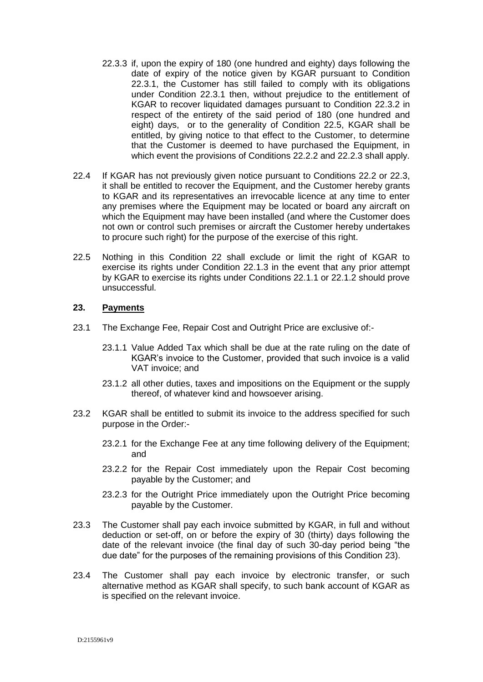- 22.3.3 if, upon the expiry of 180 (one hundred and eighty) days following the date of expiry of the notice given by KGAR pursuant to Condition 22.3.1, the Customer has still failed to comply with its obligations under Condition 22.3.1 then, without prejudice to the entitlement of KGAR to recover liquidated damages pursuant to Condition 22.3.2 in respect of the entirety of the said period of 180 (one hundred and eight) days, or to the generality of Condition 22.5, KGAR shall be entitled, by giving notice to that effect to the Customer, to determine that the Customer is deemed to have purchased the Equipment, in which event the provisions of Conditions 22.2.2 and 22.2.3 shall apply.
- 22.4 If KGAR has not previously given notice pursuant to Conditions [22.2](#page-13-0) or 22.3, it shall be entitled to recover the Equipment, and the Customer hereby grants to KGAR and its representatives an irrevocable licence at any time to enter any premises where the Equipment may be located or board any aircraft on which the Equipment may have been installed (and where the Customer does not own or control such premises or aircraft the Customer hereby undertakes to procure such right) for the purpose of the exercise of this right.
- 22.5 Nothing in this Condition 22 shall exclude or limit the right of KGAR to exercise its rights under Condition 22.1.3 in the event that any prior attempt by KGAR to exercise its rights under Conditions 22.1.1 or 22.1.2 should prove unsuccessful.

#### **23. Payments**

- 23.1 The Exchange Fee, Repair Cost and Outright Price are exclusive of:-
	- 23.1.1 Value Added Tax which shall be due at the rate ruling on the date of KGAR's invoice to the Customer, provided that such invoice is a valid VAT invoice; and
	- 23.1.2 all other duties, taxes and impositions on the Equipment or the supply thereof, of whatever kind and howsoever arising.
- 23.2 KGAR shall be entitled to submit its invoice to the address specified for such purpose in the Order:-
	- 23.2.1 for the Exchange Fee at any time following delivery of the Equipment; and
	- 23.2.2 for the Repair Cost immediately upon the Repair Cost becoming payable by the Customer; and
	- 23.2.3 for the Outright Price immediately upon the Outright Price becoming payable by the Customer.
- 23.3 The Customer shall pay each invoice submitted by KGAR, in full and without deduction or set-off, on or before the expiry of 30 (thirty) days following the date of the relevant invoice (the final day of such 30-day period being "the due date" for the purposes of the remaining provisions of this Condition 23).
- 23.4 The Customer shall pay each invoice by electronic transfer, or such alternative method as KGAR shall specify, to such bank account of KGAR as is specified on the relevant invoice.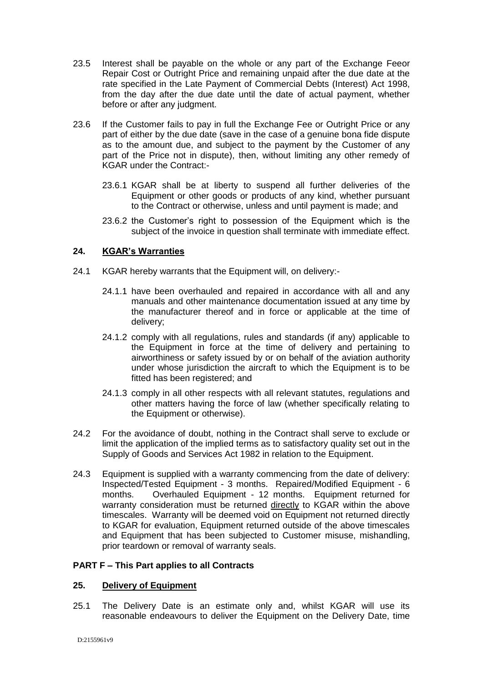- 23.5 Interest shall be payable on the whole or any part of the Exchange Feeor Repair Cost or Outright Price and remaining unpaid after the due date at the rate specified in the Late Payment of Commercial Debts (Interest) Act 1998, from the day after the due date until the date of actual payment, whether before or after any judgment.
- 23.6 If the Customer fails to pay in full the Exchange Fee or Outright Price or any part of either by the due date (save in the case of a genuine bona fide dispute as to the amount due, and subject to the payment by the Customer of any part of the Price not in dispute), then, without limiting any other remedy of KGAR under the Contract:-
	- 23.6.1 KGAR shall be at liberty to suspend all further deliveries of the Equipment or other goods or products of any kind, whether pursuant to the Contract or otherwise, unless and until payment is made; and
	- 23.6.2 the Customer's right to possession of the Equipment which is the subject of the invoice in question shall terminate with immediate effect.

# **24. KGAR's Warranties**

- 24.1 KGAR hereby warrants that the Equipment will, on delivery:-
	- 24.1.1 have been overhauled and repaired in accordance with all and any manuals and other maintenance documentation issued at any time by the manufacturer thereof and in force or applicable at the time of delivery;
	- 24.1.2 comply with all regulations, rules and standards (if any) applicable to the Equipment in force at the time of delivery and pertaining to airworthiness or safety issued by or on behalf of the aviation authority under whose jurisdiction the aircraft to which the Equipment is to be fitted has been registered; and
	- 24.1.3 comply in all other respects with all relevant statutes, regulations and other matters having the force of law (whether specifically relating to the Equipment or otherwise).
- 24.2 For the avoidance of doubt, nothing in the Contract shall serve to exclude or limit the application of the implied terms as to satisfactory quality set out in the Supply of Goods and Services Act 1982 in relation to the Equipment.
- 24.3 Equipment is supplied with a warranty commencing from the date of delivery: Inspected/Tested Equipment - 3 months. Repaired/Modified Equipment - 6 months. Overhauled Equipment - 12 months. Equipment returned for warranty consideration must be returned directly to KGAR within the above timescales. Warranty will be deemed void on Equipment not returned directly to KGAR for evaluation, Equipment returned outside of the above timescales and Equipment that has been subjected to Customer misuse, mishandling, prior teardown or removal of warranty seals.

# **PART F – This Part applies to all Contracts**

# **25. Delivery of Equipment**

25.1 The Delivery Date is an estimate only and, whilst KGAR will use its reasonable endeavours to deliver the Equipment on the Delivery Date, time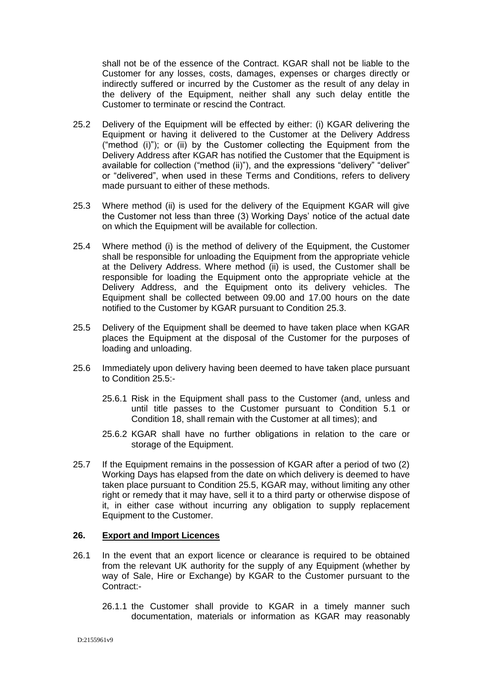shall not be of the essence of the Contract. KGAR shall not be liable to the Customer for any losses, costs, damages, expenses or charges directly or indirectly suffered or incurred by the Customer as the result of any delay in the delivery of the Equipment, neither shall any such delay entitle the Customer to terminate or rescind the Contract.

- <span id="page-16-0"></span>25.2 Delivery of the Equipment will be effected by either: (i) KGAR delivering the Equipment or having it delivered to the Customer at the Delivery Address ("method (i)"); or (ii) by the Customer collecting the Equipment from the Delivery Address after KGAR has notified the Customer that the Equipment is available for collection ("method (ii)"), and the expressions "delivery" "deliver" or "delivered", when used in these Terms and Conditions, refers to delivery made pursuant to either of these methods.
- <span id="page-16-1"></span>25.3 Where method (ii) is used for the delivery of the Equipment KGAR will give the Customer not less than three (3) Working Days' notice of the actual date on which the Equipment will be available for collection.
- 25.4 Where method (i) is the method of delivery of the Equipment, the Customer shall be responsible for unloading the Equipment from the appropriate vehicle at the Delivery Address. Where method (ii) is used, the Customer shall be responsible for loading the Equipment onto the appropriate vehicle at the Delivery Address, and the Equipment onto its delivery vehicles. The Equipment shall be collected between 09.00 and 17.00 hours on the date notified to the Customer by KGAR pursuant to Condition [25.3.](#page-16-1)
- <span id="page-16-2"></span>25.5 Delivery of the Equipment shall be deemed to have taken place when KGAR places the Equipment at the disposal of the Customer for the purposes of loading and unloading.
- 25.6 Immediately upon delivery having been deemed to have taken place pursuant to Condition [25.5:](#page-16-2)-
	- 25.6.1 Risk in the Equipment shall pass to the Customer (and, unless and until title passes to the Customer pursuant to Condition 5.1 or Condition 18, shall remain with the Customer at all times); and
	- 25.6.2 KGAR shall have no further obligations in relation to the care or storage of the Equipment.
- 25.7 If the Equipment remains in the possession of KGAR after a period of two (2) Working Days has elapsed from the date on which delivery is deemed to have taken place pursuant to Condition [25.5,](#page-16-2) KGAR may, without limiting any other right or remedy that it may have, sell it to a third party or otherwise dispose of it, in either case without incurring any obligation to supply replacement Equipment to the Customer.

#### **26. Export and Import Licences**

- <span id="page-16-3"></span>26.1 In the event that an export licence or clearance is required to be obtained from the relevant UK authority for the supply of any Equipment (whether by way of Sale, Hire or Exchange) by KGAR to the Customer pursuant to the Contract:-
	- 26.1.1 the Customer shall provide to KGAR in a timely manner such documentation, materials or information as KGAR may reasonably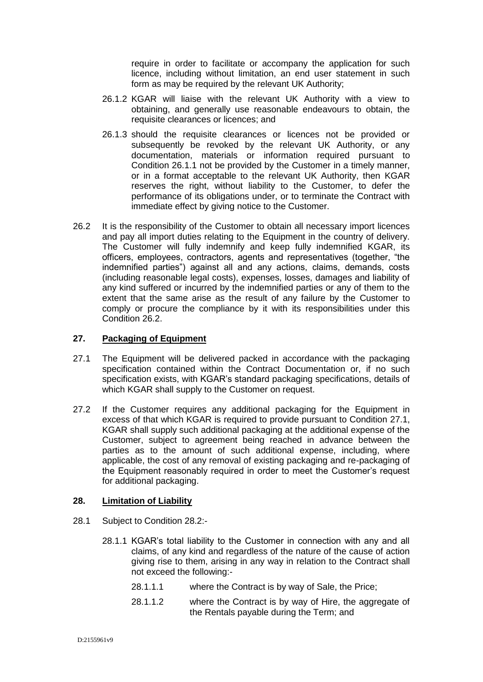require in order to facilitate or accompany the application for such licence, including without limitation, an end user statement in such form as may be required by the relevant UK Authority;

- 26.1.2 KGAR will liaise with the relevant UK Authority with a view to obtaining, and generally use reasonable endeavours to obtain, the requisite clearances or licences; and
- 26.1.3 should the requisite clearances or licences not be provided or subsequently be revoked by the relevant UK Authority, or any documentation, materials or information required pursuant to Condition [26.1.1](#page-16-3) not be provided by the Customer in a timely manner, or in a format acceptable to the relevant UK Authority, then KGAR reserves the right, without liability to the Customer, to defer the performance of its obligations under, or to terminate the Contract with immediate effect by giving notice to the Customer.
- <span id="page-17-0"></span>26.2 It is the responsibility of the Customer to obtain all necessary import licences and pay all import duties relating to the Equipment in the country of delivery. The Customer will fully indemnify and keep fully indemnified KGAR, its officers, employees, contractors, agents and representatives (together, "the indemnified parties") against all and any actions, claims, demands, costs (including reasonable legal costs), expenses, losses, damages and liability of any kind suffered or incurred by the indemnified parties or any of them to the extent that the same arise as the result of any failure by the Customer to comply or procure the compliance by it with its responsibilities under this Condition [26.2.](#page-17-0)

# **27. Packaging of Equipment**

- <span id="page-17-1"></span>27.1 The Equipment will be delivered packed in accordance with the packaging specification contained within the Contract Documentation or, if no such specification exists, with KGAR's standard packaging specifications, details of which KGAR shall supply to the Customer on request.
- 27.2 If the Customer requires any additional packaging for the Equipment in excess of that which KGAR is required to provide pursuant to Condition [27.1,](#page-17-1) KGAR shall supply such additional packaging at the additional expense of the Customer, subject to agreement being reached in advance between the parties as to the amount of such additional expense, including, where applicable, the cost of any removal of existing packaging and re-packaging of the Equipment reasonably required in order to meet the Customer's request for additional packaging.

# **28. Limitation of Liability**

- 28.1 Subject to Condition [28.2:](#page-18-0)
	- 28.1.1 KGAR's total liability to the Customer in connection with any and all claims, of any kind and regardless of the nature of the cause of action giving rise to them, arising in any way in relation to the Contract shall not exceed the following:-
		- 28.1.1.1 where the Contract is by way of Sale, the Price;
		- 28.1.1.2 where the Contract is by way of Hire, the aggregate of the Rentals payable during the Term; and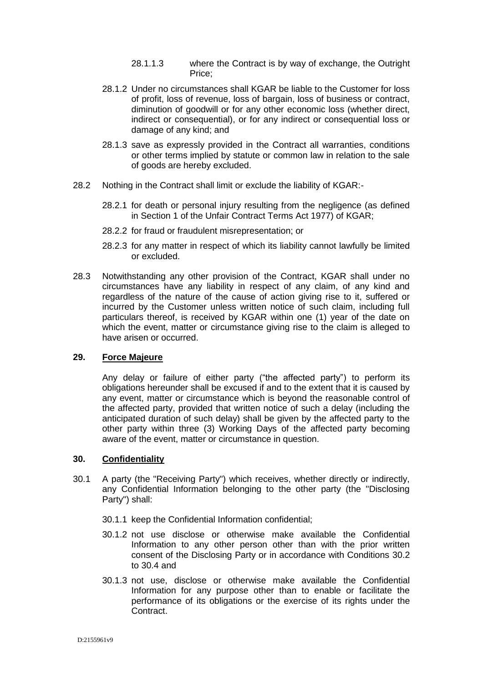- 28.1.1.3 where the Contract is by way of exchange, the Outright Price;
- 28.1.2 Under no circumstances shall KGAR be liable to the Customer for loss of profit, loss of revenue, loss of bargain, loss of business or contract, diminution of goodwill or for any other economic loss (whether direct, indirect or consequential), or for any indirect or consequential loss or damage of any kind; and
- 28.1.3 save as expressly provided in the Contract all warranties, conditions or other terms implied by statute or common law in relation to the sale of goods are hereby excluded.
- <span id="page-18-0"></span>28.2 Nothing in the Contract shall limit or exclude the liability of KGAR:-
	- 28.2.1 for death or personal injury resulting from the negligence (as defined in Section 1 of the Unfair Contract Terms Act 1977) of KGAR;
	- 28.2.2 for fraud or fraudulent misrepresentation; or
	- 28.2.3 for any matter in respect of which its liability cannot lawfully be limited or excluded.
- 28.3 Notwithstanding any other provision of the Contract, KGAR shall under no circumstances have any liability in respect of any claim, of any kind and regardless of the nature of the cause of action giving rise to it, suffered or incurred by the Customer unless written notice of such claim, including full particulars thereof, is received by KGAR within one (1) year of the date on which the event, matter or circumstance giving rise to the claim is alleged to have arisen or occurred.

#### **29. Force Majeure**

Any delay or failure of either party ("the affected party") to perform its obligations hereunder shall be excused if and to the extent that it is caused by any event, matter or circumstance which is beyond the reasonable control of the affected party, provided that written notice of such a delay (including the anticipated duration of such delay) shall be given by the affected party to the other party within three (3) Working Days of the affected party becoming aware of the event, matter or circumstance in question.

# **30. Confidentiality**

- <span id="page-18-1"></span>30.1 A party (the "Receiving Party") which receives, whether directly or indirectly, any Confidential Information belonging to the other party (the "Disclosing Party") shall:
	- 30.1.1 keep the Confidential Information confidential;
	- 30.1.2 not use disclose or otherwise make available the Confidential Information to any other person other than with the prior written consent of the Disclosing Party or in accordance with Conditions [30.2](#page-19-0) to [30.4](#page-19-1) and
	- 30.1.3 not use, disclose or otherwise make available the Confidential Information for any purpose other than to enable or facilitate the performance of its obligations or the exercise of its rights under the **Contract**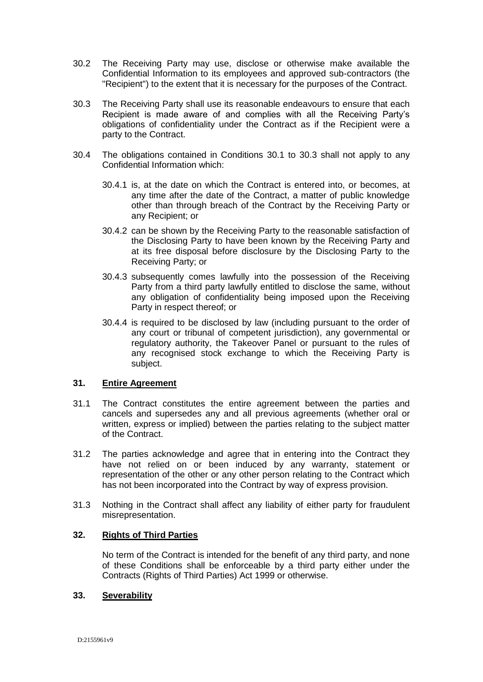- <span id="page-19-0"></span>30.2 The Receiving Party may use, disclose or otherwise make available the Confidential Information to its employees and approved sub-contractors (the "Recipient") to the extent that it is necessary for the purposes of the Contract.
- <span id="page-19-2"></span>30.3 The Receiving Party shall use its reasonable endeavours to ensure that each Recipient is made aware of and complies with all the Receiving Party's obligations of confidentiality under the Contract as if the Recipient were a party to the Contract.
- <span id="page-19-1"></span>30.4 The obligations contained in Conditions [30.1](#page-18-1) to [30.3](#page-19-2) shall not apply to any Confidential Information which:
	- 30.4.1 is, at the date on which the Contract is entered into, or becomes, at any time after the date of the Contract, a matter of public knowledge other than through breach of the Contract by the Receiving Party or any Recipient; or
	- 30.4.2 can be shown by the Receiving Party to the reasonable satisfaction of the Disclosing Party to have been known by the Receiving Party and at its free disposal before disclosure by the Disclosing Party to the Receiving Party; or
	- 30.4.3 subsequently comes lawfully into the possession of the Receiving Party from a third party lawfully entitled to disclose the same, without any obligation of confidentiality being imposed upon the Receiving Party in respect thereof; or
	- 30.4.4 is required to be disclosed by law (including pursuant to the order of any court or tribunal of competent jurisdiction), any governmental or regulatory authority, the Takeover Panel or pursuant to the rules of any recognised stock exchange to which the Receiving Party is subject.

# **31. Entire Agreement**

- 31.1 The Contract constitutes the entire agreement between the parties and cancels and supersedes any and all previous agreements (whether oral or written, express or implied) between the parties relating to the subject matter of the Contract.
- 31.2 The parties acknowledge and agree that in entering into the Contract they have not relied on or been induced by any warranty, statement or representation of the other or any other person relating to the Contract which has not been incorporated into the Contract by way of express provision.
- 31.3 Nothing in the Contract shall affect any liability of either party for fraudulent misrepresentation.

#### **32. Rights of Third Parties**

No term of the Contract is intended for the benefit of any third party, and none of these Conditions shall be enforceable by a third party either under the Contracts (Rights of Third Parties) Act 1999 or otherwise.

#### **33. Severability**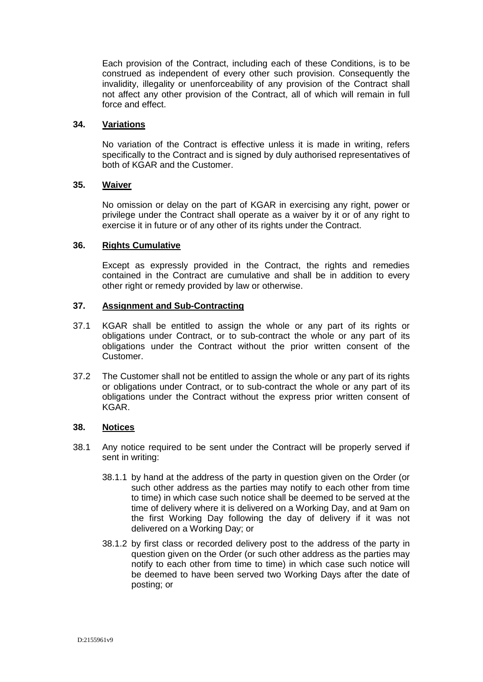Each provision of the Contract, including each of these Conditions, is to be construed as independent of every other such provision. Consequently the invalidity, illegality or unenforceability of any provision of the Contract shall not affect any other provision of the Contract, all of which will remain in full force and effect.

# **34. Variations**

No variation of the Contract is effective unless it is made in writing, refers specifically to the Contract and is signed by duly authorised representatives of both of KGAR and the Customer.

# **35. Waiver**

No omission or delay on the part of KGAR in exercising any right, power or privilege under the Contract shall operate as a waiver by it or of any right to exercise it in future or of any other of its rights under the Contract.

# **36. Rights Cumulative**

Except as expressly provided in the Contract, the rights and remedies contained in the Contract are cumulative and shall be in addition to every other right or remedy provided by law or otherwise.

# **37. Assignment and Sub-Contracting**

- 37.1 KGAR shall be entitled to assign the whole or any part of its rights or obligations under Contract, or to sub-contract the whole or any part of its obligations under the Contract without the prior written consent of the Customer.
- 37.2 The Customer shall not be entitled to assign the whole or any part of its rights or obligations under Contract, or to sub-contract the whole or any part of its obligations under the Contract without the express prior written consent of KGAR.

#### **38. Notices**

- 38.1 Any notice required to be sent under the Contract will be properly served if sent in writing:
	- 38.1.1 by hand at the address of the party in question given on the Order (or such other address as the parties may notify to each other from time to time) in which case such notice shall be deemed to be served at the time of delivery where it is delivered on a Working Day, and at 9am on the first Working Day following the day of delivery if it was not delivered on a Working Day; or
	- 38.1.2 by first class or recorded delivery post to the address of the party in question given on the Order (or such other address as the parties may notify to each other from time to time) in which case such notice will be deemed to have been served two Working Days after the date of posting; or